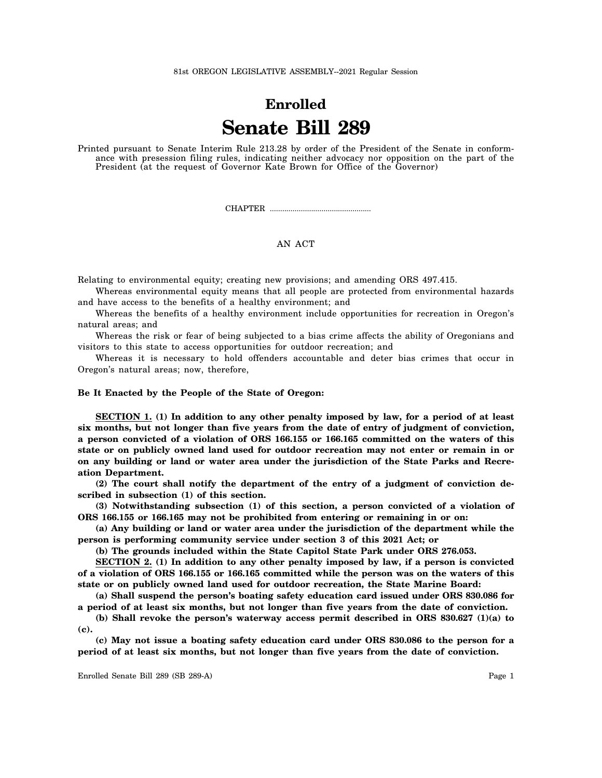81st OREGON LEGISLATIVE ASSEMBLY--2021 Regular Session

## **Enrolled Senate Bill 289**

Printed pursuant to Senate Interim Rule 213.28 by order of the President of the Senate in conformance with presession filing rules, indicating neither advocacy nor opposition on the part of the President (at the request of Governor Kate Brown for Office of the Governor)

CHAPTER .................................................

## AN ACT

Relating to environmental equity; creating new provisions; and amending ORS 497.415.

Whereas environmental equity means that all people are protected from environmental hazards and have access to the benefits of a healthy environment; and

Whereas the benefits of a healthy environment include opportunities for recreation in Oregon's natural areas; and

Whereas the risk or fear of being subjected to a bias crime affects the ability of Oregonians and visitors to this state to access opportunities for outdoor recreation; and

Whereas it is necessary to hold offenders accountable and deter bias crimes that occur in Oregon's natural areas; now, therefore,

## **Be It Enacted by the People of the State of Oregon:**

**SECTION 1. (1) In addition to any other penalty imposed by law, for a period of at least six months, but not longer than five years from the date of entry of judgment of conviction, a person convicted of a violation of ORS 166.155 or 166.165 committed on the waters of this state or on publicly owned land used for outdoor recreation may not enter or remain in or on any building or land or water area under the jurisdiction of the State Parks and Recreation Department.**

**(2) The court shall notify the department of the entry of a judgment of conviction described in subsection (1) of this section.**

**(3) Notwithstanding subsection (1) of this section, a person convicted of a violation of ORS 166.155 or 166.165 may not be prohibited from entering or remaining in or on:**

**(a) Any building or land or water area under the jurisdiction of the department while the person is performing community service under section 3 of this 2021 Act; or**

**(b) The grounds included within the State Capitol State Park under ORS 276.053.**

**SECTION 2. (1) In addition to any other penalty imposed by law, if a person is convicted of a violation of ORS 166.155 or 166.165 committed while the person was on the waters of this state or on publicly owned land used for outdoor recreation, the State Marine Board:**

**(a) Shall suspend the person's boating safety education card issued under ORS 830.086 for a period of at least six months, but not longer than five years from the date of conviction.**

**(b) Shall revoke the person's waterway access permit described in ORS 830.627 (1)(a) to (c).**

**(c) May not issue a boating safety education card under ORS 830.086 to the person for a period of at least six months, but not longer than five years from the date of conviction.**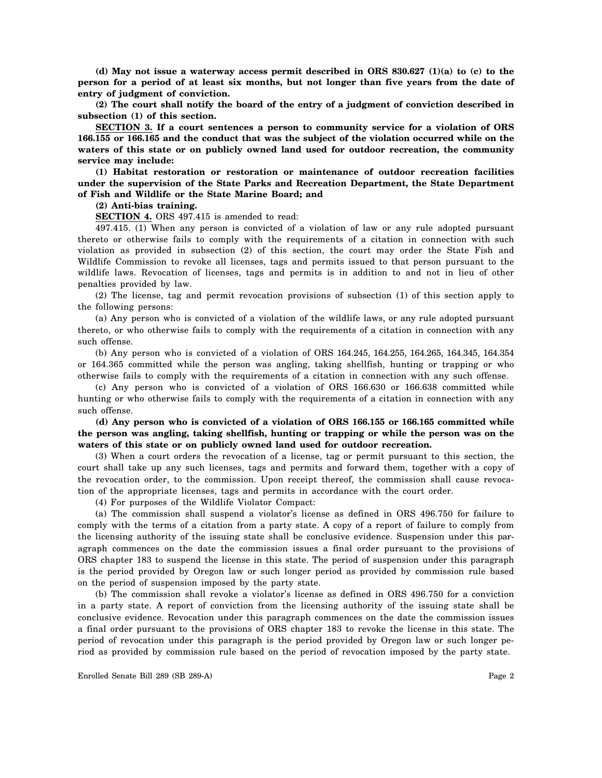**(d) May not issue a waterway access permit described in ORS 830.627 (1)(a) to (c) to the person for a period of at least six months, but not longer than five years from the date of entry of judgment of conviction.**

**(2) The court shall notify the board of the entry of a judgment of conviction described in subsection (1) of this section.**

**SECTION 3. If a court sentences a person to community service for a violation of ORS 166.155 or 166.165 and the conduct that was the subject of the violation occurred while on the waters of this state or on publicly owned land used for outdoor recreation, the community service may include:**

**(1) Habitat restoration or restoration or maintenance of outdoor recreation facilities under the supervision of the State Parks and Recreation Department, the State Department of Fish and Wildlife or the State Marine Board; and**

**(2) Anti-bias training.**

**SECTION 4.** ORS 497.415 is amended to read:

497.415. (1) When any person is convicted of a violation of law or any rule adopted pursuant thereto or otherwise fails to comply with the requirements of a citation in connection with such violation as provided in subsection (2) of this section, the court may order the State Fish and Wildlife Commission to revoke all licenses, tags and permits issued to that person pursuant to the wildlife laws. Revocation of licenses, tags and permits is in addition to and not in lieu of other penalties provided by law.

(2) The license, tag and permit revocation provisions of subsection (1) of this section apply to the following persons:

(a) Any person who is convicted of a violation of the wildlife laws, or any rule adopted pursuant thereto, or who otherwise fails to comply with the requirements of a citation in connection with any such offense.

(b) Any person who is convicted of a violation of ORS 164.245, 164.255, 164.265, 164.345, 164.354 or 164.365 committed while the person was angling, taking shellfish, hunting or trapping or who otherwise fails to comply with the requirements of a citation in connection with any such offense.

(c) Any person who is convicted of a violation of ORS 166.630 or 166.638 committed while hunting or who otherwise fails to comply with the requirements of a citation in connection with any such offense.

**(d) Any person who is convicted of a violation of ORS 166.155 or 166.165 committed while the person was angling, taking shellfish, hunting or trapping or while the person was on the waters of this state or on publicly owned land used for outdoor recreation.**

(3) When a court orders the revocation of a license, tag or permit pursuant to this section, the court shall take up any such licenses, tags and permits and forward them, together with a copy of the revocation order, to the commission. Upon receipt thereof, the commission shall cause revocation of the appropriate licenses, tags and permits in accordance with the court order.

(4) For purposes of the Wildlife Violator Compact:

(a) The commission shall suspend a violator's license as defined in ORS 496.750 for failure to comply with the terms of a citation from a party state. A copy of a report of failure to comply from the licensing authority of the issuing state shall be conclusive evidence. Suspension under this paragraph commences on the date the commission issues a final order pursuant to the provisions of ORS chapter 183 to suspend the license in this state. The period of suspension under this paragraph is the period provided by Oregon law or such longer period as provided by commission rule based on the period of suspension imposed by the party state.

(b) The commission shall revoke a violator's license as defined in ORS 496.750 for a conviction in a party state. A report of conviction from the licensing authority of the issuing state shall be conclusive evidence. Revocation under this paragraph commences on the date the commission issues a final order pursuant to the provisions of ORS chapter 183 to revoke the license in this state. The period of revocation under this paragraph is the period provided by Oregon law or such longer period as provided by commission rule based on the period of revocation imposed by the party state.